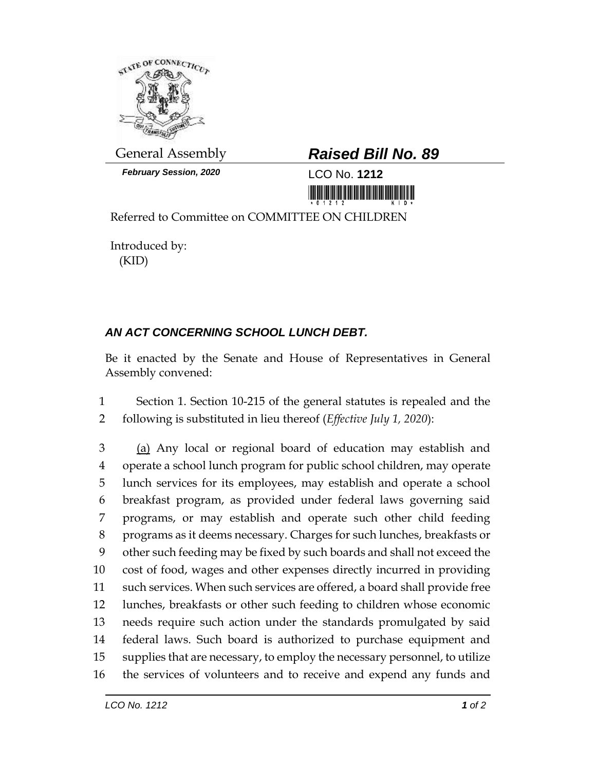

*February Session, 2020* LCO No. **1212**

## General Assembly *Raised Bill No. 89*

<u> III maarta ka maalaa ka maalaa ka maalaa ka maalaa ka maalaa ka maalaa ka maalaa ka maalaa ka maalaa ka maala</u>

Referred to Committee on COMMITTEE ON CHILDREN

Introduced by: (KID)

## *AN ACT CONCERNING SCHOOL LUNCH DEBT.*

Be it enacted by the Senate and House of Representatives in General Assembly convened:

 Section 1. Section 10-215 of the general statutes is repealed and the following is substituted in lieu thereof (*Effective July 1, 2020*):

 (a) Any local or regional board of education may establish and operate a school lunch program for public school children, may operate lunch services for its employees, may establish and operate a school breakfast program, as provided under federal laws governing said programs, or may establish and operate such other child feeding programs as it deems necessary. Charges for such lunches, breakfasts or other such feeding may be fixed by such boards and shall not exceed the cost of food, wages and other expenses directly incurred in providing such services. When such services are offered, a board shall provide free lunches, breakfasts or other such feeding to children whose economic needs require such action under the standards promulgated by said federal laws. Such board is authorized to purchase equipment and supplies that are necessary, to employ the necessary personnel, to utilize the services of volunteers and to receive and expend any funds and